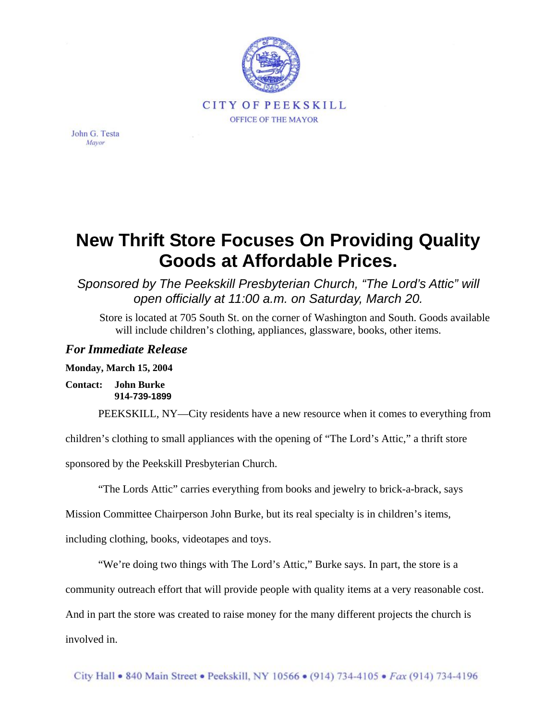

John G. Testa Mayor

## **New Thrift Store Focuses On Providing Quality Goods at Affordable Prices.**

## *Sponsored by The Peekskill Presbyterian Church, "The Lord's Attic" will open officially at 11:00 a.m. on Saturday, March 20.*

Store is located at 705 South St. on the corner of Washington and South. Goods available will include children's clothing, appliances, glassware, books, other items.

## *For Immediate Release*

**Monday, March 15, 2004** 

**Contact: John Burke 914-739-1899**

PEEKSKILL, NY—City residents have a new resource when it comes to everything from

children's clothing to small appliances with the opening of "The Lord's Attic," a thrift store

sponsored by the Peekskill Presbyterian Church.

"The Lords Attic" carries everything from books and jewelry to brick-a-brack, says

Mission Committee Chairperson John Burke, but its real specialty is in children's items,

including clothing, books, videotapes and toys.

"We're doing two things with The Lord's Attic," Burke says. In part, the store is a

community outreach effort that will provide people with quality items at a very reasonable cost.

And in part the store was created to raise money for the many different projects the church is involved in.